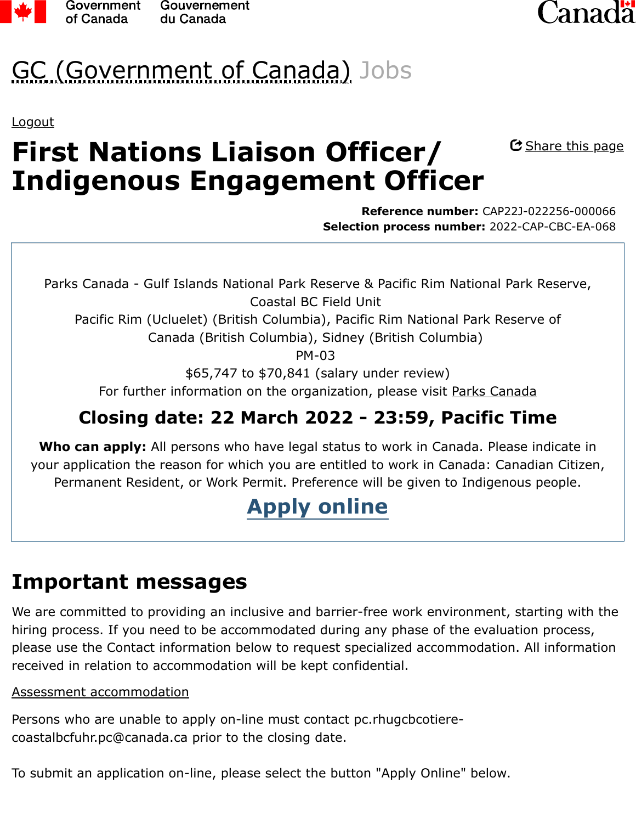



# GC (Government of Canada) Jobs

[Logout](https://emploisfp-psjobs.cfp-psc.gc.ca/psrs-srfp/applicant/page1260?action=logout&psrsMode=0)

# **First Nations Liaison Officer/ Indigenous Engagement Officer**

C Share this page

**Reference number:** CAP22J-022256-000066 **Selection process number:** 2022-CAP-CBC-EA-068

Parks Canada - Gulf Islands National Park Reserve & Pacific Rim National Park Reserve, Coastal BC Field Unit

Pacific Rim (Ucluelet) (British Columbia), Pacific Rim National Park Reserve of Canada (British Columbia), Sidney (British Columbia)

PM-03

\$65,747 to \$70,841 (salary under review)

For further information on the organization, please visit [Parks Canada](http://www.pc.gc.ca/eng/index.aspx)

### **Closing date: 22 March 2022 - 23:59, Pacific Time**

**Who can apply:** All persons who have legal status to work in Canada. Please indicate in your application the reason for which you are entitled to work in Canada: Canadian Citizen, Permanent Resident, or Work Permit. Preference will be given to Indigenous people.

## **[Apply online](https://emploisfp-psjobs.cfp-psc.gc.ca/psrs-srfp/applicant/page1710?careerChoiceId=1748704&psrsMode=1)**

### **Important messages**

We are committed to providing an inclusive and barrier-free work environment, starting with the hiring process. If you need to be accommodated during any phase of the evaluation process, please use the Contact information below to request specialized accommodation. All information received in relation to accommodation will be kept confidential.

#### [Assessment accommodation](https://www.canada.ca/en/public-service-commission/services/assessment-accommodation-page/how-to-request-assessment-accommodation.html)

Persons who are unable to apply on-line must contact pc.rhugcbcotierecoastalbcfuhr.pc@canada.ca prior to the closing date.

To submit an application on-line, please select the button "Apply Online" below.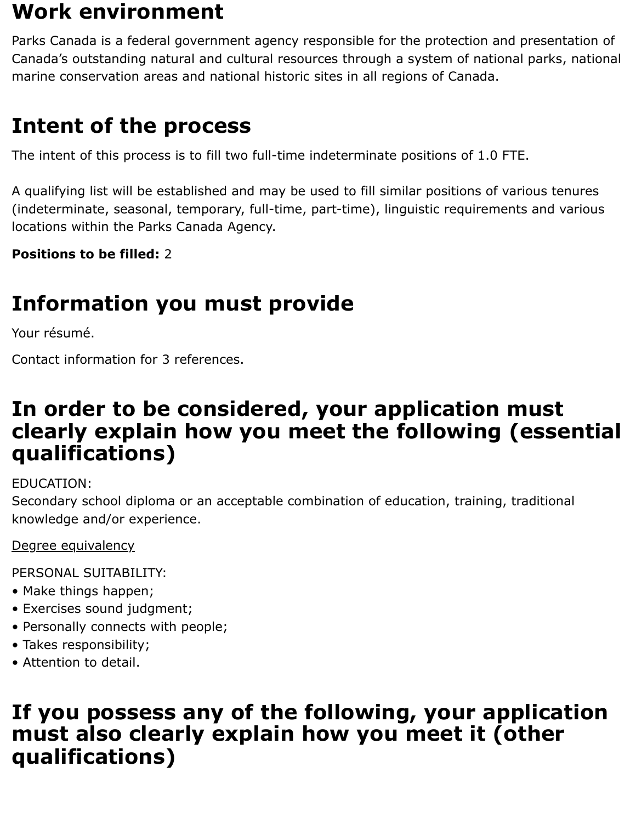### **Work environment**

Parks Canada is a federal government agency responsible for the protection and presentation of Canada's outstanding natural and cultural resources through a system of national parks, national marine conservation areas and national historic sites in all regions of Canada.

### **Intent of the process**

The intent of this process is to fill two full-time indeterminate positions of 1.0 FTE.

A qualifying list will be established and may be used to fill similar positions of various tenures (indeterminate, seasonal, temporary, full-time, part-time), linguistic requirements and various locations within the Parks Canada Agency.

**Positions to be filled:** 2

## **Information you must provide**

Your résumé.

Contact information for 3 references.

### **In order to be considered, your application must clearly explain how you meet the following (essential qualifications)**

EDUCATION:

Secondary school diploma or an acceptable combination of education, training, traditional knowledge and/or experience.

[Degree equivalency](https://www.canada.ca/en/public-service-commission/jobs/services/gc-jobs/degree-equivalency.html)

PERSONAL SUITABILITY:

- Make things happen;
- Exercises sound judgment;
- Personally connects with people;
- Takes responsibility;
- Attention to detail.

### **If you possess any of the following, your application must also clearly explain how you meet it (other qualifications)**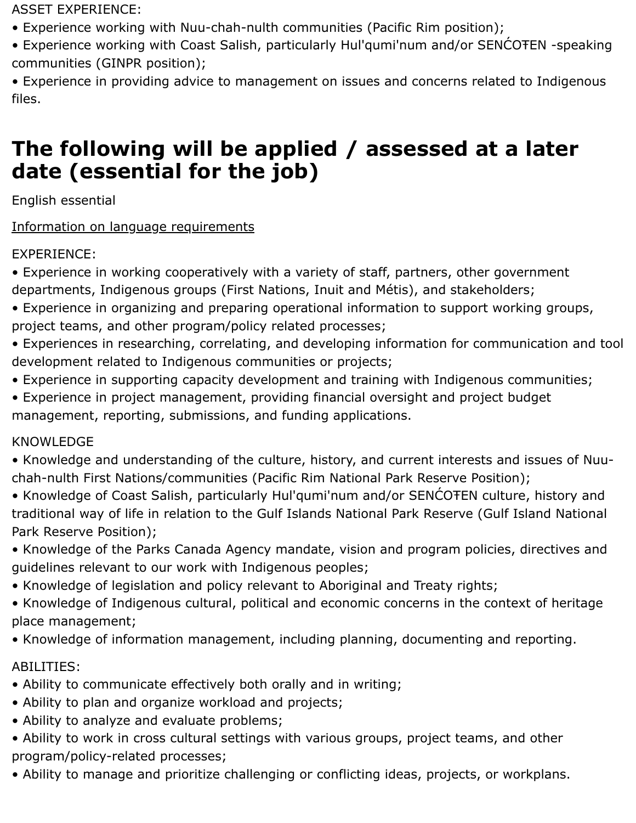ASSET EXPERIENCE:

- Experience working with Nuu-chah-nulth communities (Pacific Rim position);
- Experience working with Coast Salish, particularly Hul'qumi'num and/or SENĆOŦEN -speaking communities (GINPR position);

• Experience in providing advice to management on issues and concerns related to Indigenous files.

### **The following will be applied / assessed at a later date (essential for the job)**

English essential

#### [Information on language requirements](https://www.canada.ca/en/public-service-commission/jobs/services/gc-jobs/language-requirements-candidates.html)

#### EXPERIENCE:

- Experience in working cooperatively with a variety of staff, partners, other government departments, Indigenous groups (First Nations, Inuit and Métis), and stakeholders;
- Experience in organizing and preparing operational information to support working groups, project teams, and other program/policy related processes;
- Experiences in researching, correlating, and developing information for communication and tool development related to Indigenous communities or projects;
- Experience in supporting capacity development and training with Indigenous communities;
- Experience in project management, providing financial oversight and project budget management, reporting, submissions, and funding applications.

#### KNOWLEDGE

- Knowledge and understanding of the culture, history, and current interests and issues of Nuuchah-nulth First Nations/communities (Pacific Rim National Park Reserve Position);
- Knowledge of Coast Salish, particularly Hul'qumi'num and/or SENĆOŦEN culture, history and traditional way of life in relation to the Gulf Islands National Park Reserve (Gulf Island National Park Reserve Position);
- Knowledge of the Parks Canada Agency mandate, vision and program policies, directives and guidelines relevant to our work with Indigenous peoples;
- Knowledge of legislation and policy relevant to Aboriginal and Treaty rights;
- Knowledge of Indigenous cultural, political and economic concerns in the context of heritage place management;
- Knowledge of information management, including planning, documenting and reporting.

#### ABILITIES:

- Ability to communicate effectively both orally and in writing;
- Ability to plan and organize workload and projects;
- Ability to analyze and evaluate problems;
- Ability to work in cross cultural settings with various groups, project teams, and other program/policy-related processes;
- Ability to manage and prioritize challenging or conflicting ideas, projects, or workplans.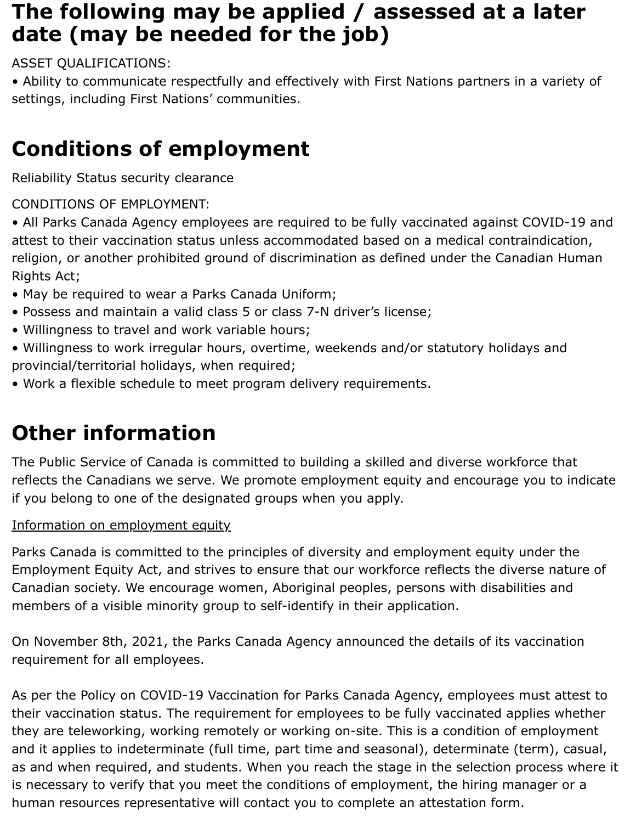### **The following may be applied / assessed at a later date (may be needed for the job)**

ASSET QUALIFICATIONS:

• Ability to communicate respectfully and effectively with First Nations partners in a variety of settings, including First Nations' communities.

# **Conditions of employment**

Reliability Status security clearance

CONDITIONS OF EMPLOYMENT:

• All Parks Canada Agency employees are required to be fully vaccinated against COVID-19 and attest to their vaccination status unless accommodated based on a medical contraindication, religion, or another prohibited ground of discrimination as defined under the Canadian Human Rights Act;

- May be required to wear a Parks Canada Uniform;
- Possess and maintain a valid class 5 or class 7-N driver's license;
- Willingness to travel and work variable hours;
- Willingness to work irregular hours, overtime, weekends and/or statutory holidays and provincial/territorial holidays, when required;
- Work a flexible schedule to meet program delivery requirements.

# **Other information**

The Public Service of Canada is committed to building a skilled and diverse workforce that reflects the Canadians we serve. We promote employment equity and encourage you to indicate if you belong to one of the designated groups when you apply.

#### [Information on employment equity](https://www.canada.ca/en/public-service-commission/jobs/services/gc-jobs/employment-equity.html)

Parks Canada is committed to the principles of diversity and employment equity under the Employment Equity Act, and strives to ensure that our workforce reflects the diverse nature of Canadian society. We encourage women, Aboriginal peoples, persons with disabilities and members of a visible minority group to self-identify in their application.

On November 8th, 2021, the Parks Canada Agency announced the details of its vaccination requirement for all employees.

As per the Policy on COVID-19 Vaccination for Parks Canada Agency, employees must attest to their vaccination status. The requirement for employees to be fully vaccinated applies whether they are teleworking, working remotely or working on-site. This is a condition of employment and it applies to indeterminate (full time, part time and seasonal), determinate (term), casual, as and when required, and students. When you reach the stage in the selection process where it is necessary to verify that you meet the conditions of employment, the hiring manager or a human resources representative will contact you to complete an attestation form.